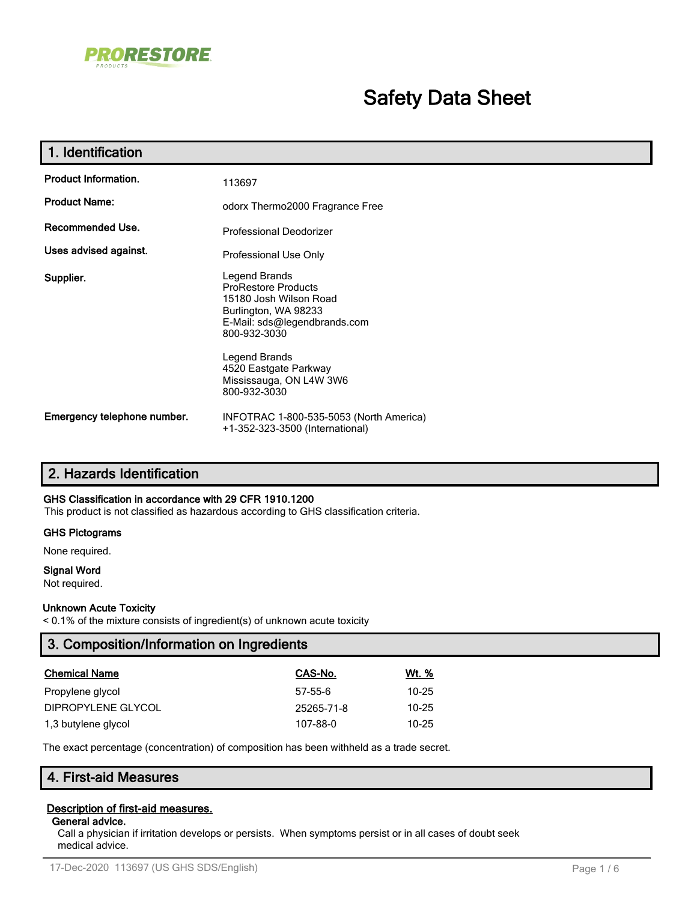

# **Safety Data Sheet**

| 1. Identification           |                                                                                                                                                                                                                                    |
|-----------------------------|------------------------------------------------------------------------------------------------------------------------------------------------------------------------------------------------------------------------------------|
| <b>Product Information.</b> | 113697                                                                                                                                                                                                                             |
| <b>Product Name:</b>        | odorx Thermo2000 Fragrance Free                                                                                                                                                                                                    |
| Recommended Use.            | <b>Professional Deodorizer</b>                                                                                                                                                                                                     |
| Uses advised against.       | Professional Use Only                                                                                                                                                                                                              |
| Supplier.                   | Legend Brands<br><b>ProRestore Products</b><br>15180 Josh Wilson Road<br>Burlington, WA 98233<br>E-Mail: sds@legendbrands.com<br>800-932-3030<br>Legend Brands<br>4520 Eastgate Parkway<br>Mississauga, ON L4W 3W6<br>800-932-3030 |
| Emergency telephone number. | INFOTRAC 1-800-535-5053 (North America)<br>+1-352-323-3500 (International)                                                                                                                                                         |

# **2. Hazards Identification**

#### **GHS Classification in accordance with 29 CFR 1910.1200**

This product is not classified as hazardous according to GHS classification criteria.

#### **GHS Pictograms**

None required.

#### **Signal Word**

Not required.

### **Unknown Acute Toxicity**

< 0.1% of the mixture consists of ingredient(s) of unknown acute toxicity

| CAS-No.<br><u>Wt. %</u><br><b>Chemical Name</b><br>$10 - 25$<br>$57-55-6$<br>Propylene glycol<br>DIPROPYLENE GLYCOL<br>$10 - 25$<br>25265-71-8<br>$10 - 25$<br>1,3 butylene glycol<br>107-88-0 | 3. Composition/Information on Ingredients |  |
|------------------------------------------------------------------------------------------------------------------------------------------------------------------------------------------------|-------------------------------------------|--|
|                                                                                                                                                                                                |                                           |  |
|                                                                                                                                                                                                |                                           |  |
|                                                                                                                                                                                                |                                           |  |
|                                                                                                                                                                                                |                                           |  |

The exact percentage (concentration) of composition has been withheld as a trade secret.

# **4. First-aid Measures**

### **Description of first-aid measures.**

# **General advice.**

Call a physician if irritation develops or persists. When symptoms persist or in all cases of doubt seek medical advice.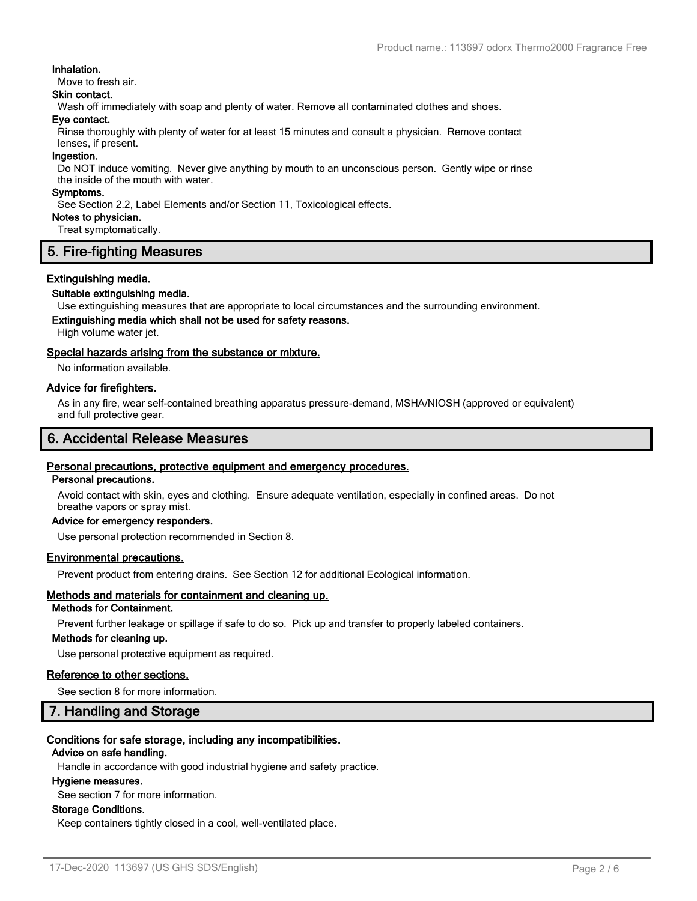#### **Inhalation.**

Move to fresh air.

### **Skin contact.**

Wash off immediately with soap and plenty of water. Remove all contaminated clothes and shoes.

#### **Eye contact.**

Rinse thoroughly with plenty of water for at least 15 minutes and consult a physician. Remove contact lenses, if present.

#### **Ingestion.**

Do NOT induce vomiting. Never give anything by mouth to an unconscious person. Gently wipe or rinse the inside of the mouth with water.

#### **Symptoms.**

See Section 2.2, Label Elements and/or Section 11, Toxicological effects.

**Notes to physician.**

Treat symptomatically.

# **5. Fire-fighting Measures**

#### **Extinguishing media.**

#### **Suitable extinguishing media.**

Use extinguishing measures that are appropriate to local circumstances and the surrounding environment.

# **Extinguishing media which shall not be used for safety reasons.**

High volume water jet.

#### **Special hazards arising from the substance or mixture.**

No information available.

#### **Advice for firefighters.**

As in any fire, wear self-contained breathing apparatus pressure-demand, MSHA/NIOSH (approved or equivalent) and full protective gear.

# **6. Accidental Release Measures**

#### **Personal precautions, protective equipment and emergency procedures.**

#### **Personal precautions.**

Avoid contact with skin, eyes and clothing. Ensure adequate ventilation, especially in confined areas. Do not breathe vapors or spray mist.

### **Advice for emergency responders.**

Use personal protection recommended in Section 8.

#### **Environmental precautions.**

Prevent product from entering drains. See Section 12 for additional Ecological information.

# **Methods and materials for containment and cleaning up.**

# **Methods for Containment.**

Prevent further leakage or spillage if safe to do so. Pick up and transfer to properly labeled containers.

### **Methods for cleaning up.**

Use personal protective equipment as required.

#### **Reference to other sections.**

See section 8 for more information.

### **7. Handling and Storage**

### **Conditions for safe storage, including any incompatibilities.**

#### **Advice on safe handling.**

Handle in accordance with good industrial hygiene and safety practice.

#### **Hygiene measures.**

See section 7 for more information.

#### **Storage Conditions.**

Keep containers tightly closed in a cool, well-ventilated place.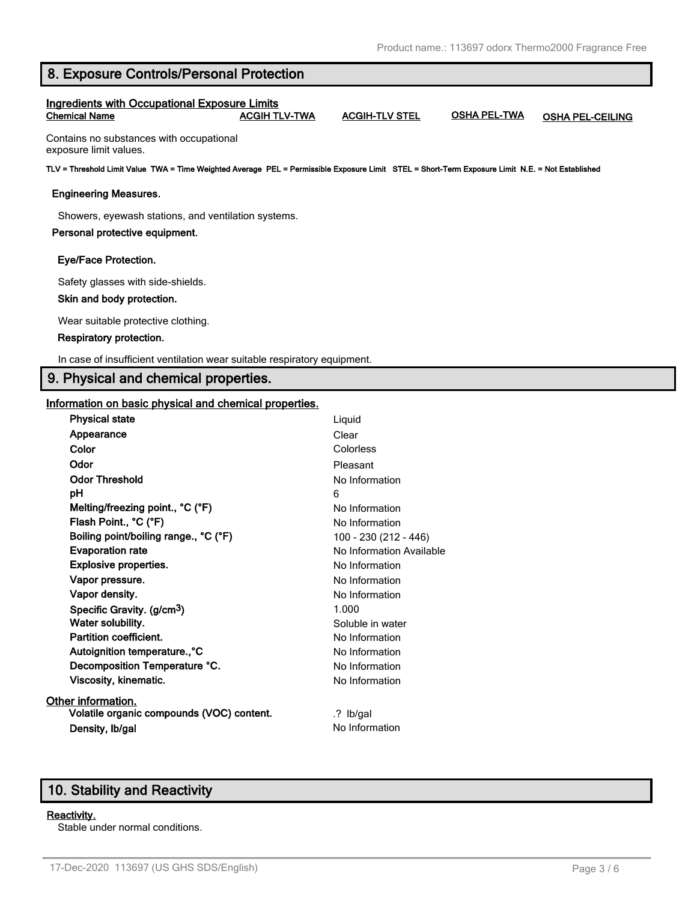|  |  | 8. Exposure Controls/Personal Protection |  |
|--|--|------------------------------------------|--|
|--|--|------------------------------------------|--|

### **Ingredients with Occupational Exposure Limits Chemical Name ACGIH TLV-TWA ACGIH-TLV STEL OSHA PEL-TWA OSHA PEL-CEILING**

Contains no substances with occupational exposure limit values.

**TLV = Threshold Limit Value TWA = Time Weighted Average PEL = Permissible Exposure Limit STEL = Short-Term Exposure Limit N.E. = Not Established**

#### **Engineering Measures.**

Showers, eyewash stations, and ventilation systems.

#### **Personal protective equipment.**

#### **Eye/Face Protection.**

Safety glasses with side-shields.

#### **Skin and body protection.**

Wear suitable protective clothing.

#### **Respiratory protection.**

In case of insufficient ventilation wear suitable respiratory equipment.

# **9. Physical and chemical properties.**

#### **Information on basic physical and chemical properties.**

| <b>Physical state</b>                     | Liquid                   |
|-------------------------------------------|--------------------------|
| Appearance                                | Clear                    |
| Color                                     | Colorless                |
| Odor                                      | Pleasant                 |
| <b>Odor Threshold</b>                     | No Information           |
| pН                                        | 6                        |
| Melting/freezing point., °C (°F)          | No Information           |
| Flash Point., °C (°F)                     | No Information           |
| Boiling point/boiling range., °C (°F)     | 100 - 230 (212 - 446)    |
| <b>Evaporation rate</b>                   | No Information Available |
| <b>Explosive properties.</b>              | No Information           |
| Vapor pressure.                           | No Information           |
| Vapor density.                            | No Information           |
| Specific Gravity. (g/cm <sup>3</sup> )    | 1.000                    |
| Water solubility.                         | Soluble in water         |
| Partition coefficient.                    | No Information           |
| Autoignition temperature., °C             | No Information           |
| Decomposition Temperature °C.             | No Information           |
| Viscosity, kinematic.                     | No Information           |
| Other information.                        |                          |
| Volatile organic compounds (VOC) content. | .? Ib/gal                |
| Density, Ib/gal                           | No Information           |
|                                           |                          |

# **10. Stability and Reactivity**

#### **Reactivity.**

Stable under normal conditions.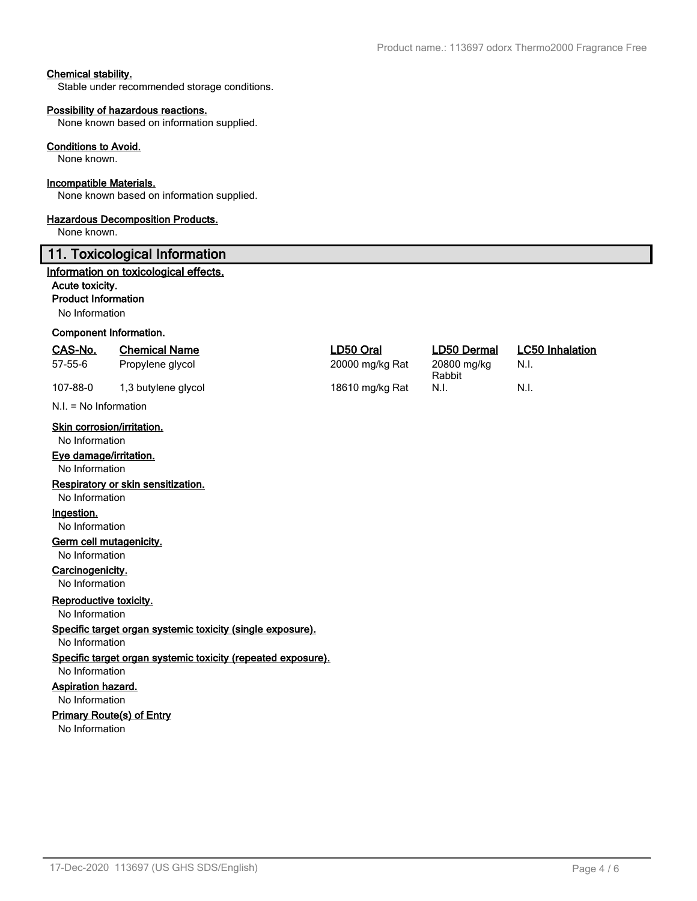### **Chemical stability.**

Stable under recommended storage conditions.

#### **Possibility of hazardous reactions.**

None known based on information supplied.

#### **Conditions to Avoid.**

None known.

#### **Incompatible Materials.**

None known based on information supplied.

#### **Hazardous Decomposition Products.**

None known.

### **11. Toxicological Information**

#### **Information on toxicological effects.**

#### **Acute toxicity.**

**Product Information**

No Information

#### **Component Information.**

| CAS-No. | <b>Chemical Name</b> | LD50 Oral       | <b>LD50 Dermal</b>    | <b>LC50 Inhalation</b> |
|---------|----------------------|-----------------|-----------------------|------------------------|
| 57-55-6 | Propylene glycol     | 20000 mg/kg Rat | 20800 mg/kg<br>Rabbit | - N.I.                 |

107-88-0 1,3 butylene glycol 18610 mg/kg Rat N.I. N.I.

N.I. = No Information

### **Skin corrosion/irritation.**

No Information

### **Eye damage/irritation.**

No Information

#### **Respiratory or skin sensitization.**

No Information

# **Ingestion.**

No Information

# **Germ cell mutagenicity.**

No Information

# **Carcinogenicity.**

No Information

# **Reproductive toxicity.**

No Information

# **Specific target organ systemic toxicity (single exposure).**

No Information

#### **Specific target organ systemic toxicity (repeated exposure).** No Information

# **Aspiration hazard.**

No Information

# **Primary Route(s) of Entry**

No Information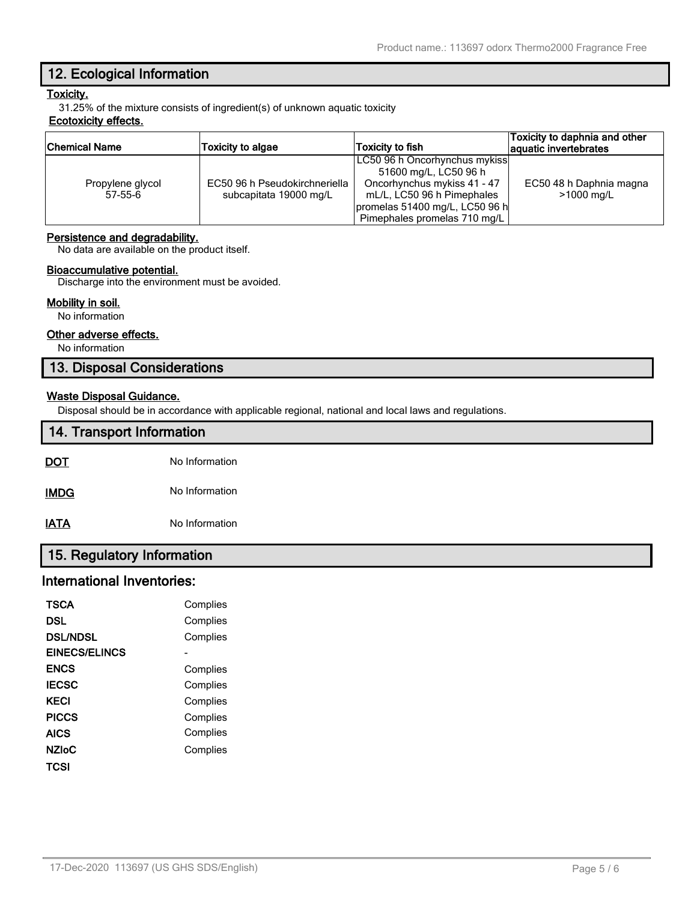# **12. Ecological Information**

# **Toxicity.**

31.25% of the mixture consists of ingredient(s) of unknown aquatic toxicity

### **Ecotoxicity effects.**

| Chemical Name    | <b>Toxicity to algae</b>      | Toxicity to fish               | Toxicity to daphnia and other<br>aquatic invertebrates |
|------------------|-------------------------------|--------------------------------|--------------------------------------------------------|
|                  |                               | LC50 96 h Oncorhynchus mykiss  |                                                        |
|                  |                               | 51600 mg/L, LC50 96 h          |                                                        |
| Propylene glycol | EC50 96 h Pseudokirchneriella | Oncorhynchus mykiss 41 - 47    | EC50 48 h Daphnia magna                                |
| 57-55-6          | subcapitata 19000 mg/L        | mL/L, LC50 96 h Pimephales     | >1000 mg/L                                             |
|                  |                               | promelas 51400 mg/L, LC50 96 h |                                                        |
|                  |                               | Pimephales promelas 710 mg/L   |                                                        |

### **Persistence and degradability.**

No data are available on the product itself.

#### **Bioaccumulative potential.**

Discharge into the environment must be avoided.

#### **Mobility in soil.**

No information

### **Other adverse effects.**

No information

# **13. Disposal Considerations**

#### **Waste Disposal Guidance.**

Disposal should be in accordance with applicable regional, national and local laws and regulations.

| 14. Transport Information |                |
|---------------------------|----------------|
| <b>DOT</b>                | No Information |
| <b>IMDG</b>               | No Information |
| <b>IATA</b>               | No Information |

# **15. Regulatory Information**

# **International Inventories:**

| <b>TSCA</b>     | Complies |
|-----------------|----------|
| DSL             | Complies |
| <b>DSL/NDSL</b> | Complies |
| EINECS/ELINCS   |          |
| <b>ENCS</b>     | Complies |
| <b>IECSC</b>    | Complies |
| KFCI            | Complies |
| <b>PICCS</b>    | Complies |
| <b>AICS</b>     | Complies |
| <b>NZIOC</b>    | Complies |
| TCSI            |          |
|                 |          |